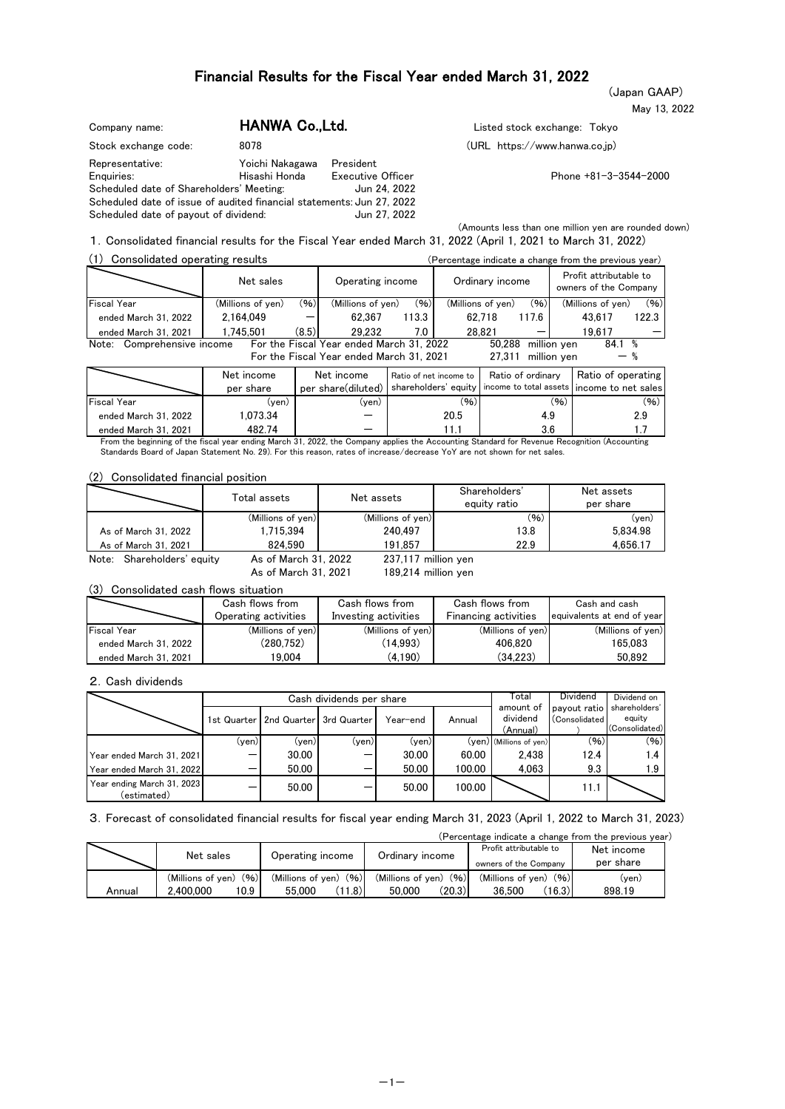(Japan GAAP)

|  | May 13, 2022 |
|--|--------------|
|  |              |

| Company name:                                                         | HANWA Co., Ltd. |                          | Listed stock exchange: Tokyo    |
|-----------------------------------------------------------------------|-----------------|--------------------------|---------------------------------|
| Stock exchange code:                                                  | 8078            |                          | $(URL https://www.hanwa.co.jp)$ |
| Representative:                                                       | Yoichi Nakagawa | President                |                                 |
| Enguiries:                                                            | Hisashi Honda   | <b>Executive Officer</b> | Phone $+81-3-$                  |
| Scheduled date of Shareholders' Meeting:                              |                 | Jun 24, 2022             |                                 |
| Scheduled date of issue of audited financial statements: Jun 27, 2022 |                 |                          |                                 |
| Scheduled date of payout of dividend:                                 |                 | Jun 27, 2022             |                                 |

Enquiries: Hisashi Honda Executive Officer Phone +81-3-3544-2000

(Amounts less than one million yen are rounded down) 1.Consolidated financial results for the Fiscal Year ended March 31, 2022 (April 1, 2021 to March 31, 2022)

| Consolidated operating results<br>(1) |                   |       |                                                                                      |                        |      |                   |                                   |      | (Percentage indicate a change from the previous year)           |       |
|---------------------------------------|-------------------|-------|--------------------------------------------------------------------------------------|------------------------|------|-------------------|-----------------------------------|------|-----------------------------------------------------------------|-------|
|                                       | Net sales         |       | Operating income                                                                     |                        |      | Ordinary income   |                                   |      | Profit attributable to<br>owners of the Company                 |       |
| <b>Fiscal Year</b>                    | (Millions of yen) | (96)  | (Millions of yen)                                                                    | (96)                   |      | (Millions of yen) | (96)                              |      | (Millions of yen)                                               | (96)  |
| ended March 31, 2022                  | 2.164.049         |       | 62.367                                                                               | 113.3                  |      | 62.718            | 117.6                             |      | 43.617                                                          | 122.3 |
| ended March 31, 2021                  | 1.745.501         | (8.5) | 29.232                                                                               | 7.0                    |      | 28.821            |                                   |      | 19.617                                                          |       |
| Comprehensive income<br>Note:         |                   |       | For the Fiscal Year ended March 31, 2022<br>For the Fiscal Year ended March 31, 2021 |                        |      | 50.288            | million ven<br>27.311 million ven |      | 84.1%                                                           |       |
|                                       | Net income        |       | Net income                                                                           | Ratio of net income to |      |                   | Ratio of ordinary                 |      | Ratio of operating                                              |       |
|                                       | per share         |       | per share(diluted)                                                                   |                        |      |                   |                                   |      | shareholders' equity income to total assets income to net sales |       |
| <b>Fiscal Year</b>                    | (yen)             |       | $(\mathsf{ven})$                                                                     |                        | (96) |                   |                                   | (96) |                                                                 | (96)  |
| ended March 31, 2022                  | 1.073.34          |       |                                                                                      |                        | 20.5 |                   | 4.9                               |      |                                                                 | 2.9   |
| ended March 31, 2021                  | 482.74            |       |                                                                                      |                        | 11.1 |                   | 3.6                               |      |                                                                 |       |

From the beginning of the fiscal year ending March 31, 2022, the Company applies the Accounting Standard for Revenue Recognition (Accounting Standards Board of Japan Statement No. 29). For this reason, rates of increase/decrease YoY are not shown for net sales.

#### (2) Consolidated financial position

|                            | Total assets         | Net assets          | Shareholders'<br>equity ratio | Net assets<br>per share |
|----------------------------|----------------------|---------------------|-------------------------------|-------------------------|
|                            | (Millions of yen)    | (Millions of yen)   | (96)                          | (ven)                   |
| As of March 31, 2022       | 1.715.394            | 240.497             | 13.8                          | 5.834.98                |
| As of March 31, 2021       | 824.590              | 191.857             | 22.9                          | 4.656.17                |
| Note: Shareholders' equity | As of March 31, 2022 | 237,117 million yen |                               |                         |

As of March 31, 2021 189,214 million yen

(3) Consolidated cash flows situation

|                      | Cash flows from      | Cash flows from      | Cash flows from      | Cash and cash              |
|----------------------|----------------------|----------------------|----------------------|----------------------------|
|                      | Operating activities | Investing activities | Financing activities | equivalents at end of year |
| <b>Fiscal Year</b>   | (Millions of yen)    | (Millions of yen)    | (Millions of yen)    | (Millions of yen)          |
| ended March 31, 2022 | (280.752)            | (14.993)             | 406.820              | 165.083                    |
| ended March 31, 2021 | 19.004               | (4.190)              | (34.223)             | 50.892                     |

#### 2.Cash dividends

|                                           |             |                         | Cash dividends per share |                  | l otal | Dividend                  | Dividend on   |                |
|-------------------------------------------|-------------|-------------------------|--------------------------|------------------|--------|---------------------------|---------------|----------------|
|                                           |             |                         |                          |                  |        | amount of                 | payout ratio  | shareholders'  |
|                                           | 1st Quarter | 2nd Quarter 3rd Quarter |                          | Year-end         | Annual | dividend                  | (Consolidated | equity         |
|                                           |             |                         |                          |                  |        | (Annual)                  |               | (Consolidated) |
|                                           | (ven)       | (ven)                   | (ven)                    | $(\mathsf{ven})$ |        | $(yen)$ (Millions of yen) | (96)          | (96)           |
| Year ended March 31, 2021                 |             | 30.00                   | -                        | 30.00            | 60.00  | 2.438                     | 12.4          | 1.4            |
| Year ended March 31, 2022                 |             | 50.00                   |                          | 50.00            | 100.00 | 4.063                     | 9.3           | 1.9            |
| Year ending March 31, 2023<br>(estimated) |             | 50.00                   |                          | 50.00            | 100.00 |                           | 11.1          |                |

3.Forecast of consolidated financial results for fiscal year ending March 31, 2023 (April 1, 2022 to March 31, 2023)

|        | (Percentage indicate a change from the previous year) |                         |                           |                           |            |  |  |  |  |  |  |  |
|--------|-------------------------------------------------------|-------------------------|---------------------------|---------------------------|------------|--|--|--|--|--|--|--|
|        | Net sales                                             | Operating income        | Ordinary income           | Profit attributable to    | Net income |  |  |  |  |  |  |  |
|        |                                                       |                         |                           | owners of the Company     | per share  |  |  |  |  |  |  |  |
|        | (96)<br>(Millions of ven)                             | $(Millions of ven)$ (%) | (96)<br>(Millions of yen) | (96)<br>(Millions of ven) | (ven)      |  |  |  |  |  |  |  |
| Annual | 10.9<br>2.400.000                                     | (1.8)<br>55.000         | (20.3)<br>50.000          | (16.3)<br>36.500          | 898.19     |  |  |  |  |  |  |  |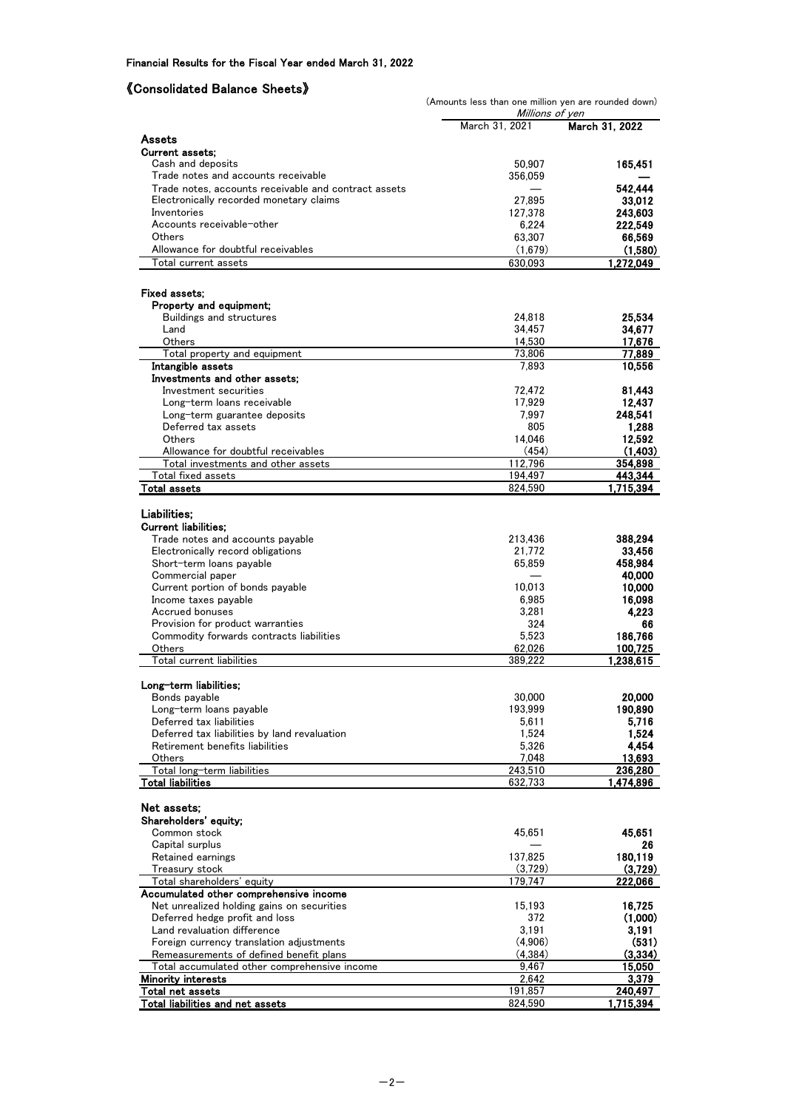# 《Consolidated Balance Sheets》

|                                                                                     | (Amounts less than one million yen are rounded down) |                   |
|-------------------------------------------------------------------------------------|------------------------------------------------------|-------------------|
|                                                                                     | Millions of yen<br>March 31, 2021                    | March 31, 2022    |
| Assets                                                                              |                                                      |                   |
| <b>Current assets;</b>                                                              |                                                      |                   |
| Cash and deposits                                                                   | 50,907                                               | 165,451           |
| Trade notes and accounts receivable                                                 | 356,059                                              |                   |
| Trade notes, accounts receivable and contract assets                                |                                                      | 542.444           |
| Electronically recorded monetary claims                                             | 27.895                                               | 33,012            |
| Inventories<br>Accounts receivable-other                                            | 127,378                                              | 243,603           |
| <b>Others</b>                                                                       | 6,224<br>63,307                                      | 222,549<br>66,569 |
| Allowance for doubtful receivables                                                  | (1,679)                                              | (1.580)           |
| Total current assets                                                                | 630,093                                              | 1,272,049         |
|                                                                                     |                                                      |                   |
| Fixed assets:                                                                       |                                                      |                   |
| Property and equipment;                                                             |                                                      |                   |
| <b>Buildings and structures</b>                                                     | 24,818                                               | 25,534            |
| Land                                                                                | 34,457                                               | 34,677            |
| Others                                                                              | 14,530                                               | 17,676            |
| Total property and equipment                                                        | 73,806                                               | 77,889            |
| Intangible assets                                                                   | 7,893                                                | 10,556            |
| Investments and other assets:<br>Investment securities                              | 72,472                                               | 81,443            |
| Long-term loans receivable                                                          | 17,929                                               | 12,437            |
| Long-term guarantee deposits                                                        | 7,997                                                | 248,541           |
| Deferred tax assets                                                                 | 805                                                  | 1,288             |
| <b>Others</b>                                                                       | 14,046                                               | 12,592            |
| Allowance for doubtful receivables                                                  | (454)                                                | (1, 403)          |
| Total investments and other assets                                                  | 112,796                                              | 354,898           |
| Total fixed assets                                                                  | 194,497                                              | 443,344           |
| Total assets                                                                        | 824,590                                              | 1,715,394         |
| Liabilities;                                                                        |                                                      |                   |
| <b>Current liabilities:</b>                                                         |                                                      |                   |
| Trade notes and accounts payable                                                    | 213,436                                              | 388,294           |
| Electronically record obligations                                                   | 21,772                                               | 33,456            |
| Short-term loans payable                                                            | 65,859                                               | 458,984           |
| Commercial paper                                                                    |                                                      | 40,000            |
| Current portion of bonds payable                                                    | 10,013                                               | 10,000            |
| Income taxes payable                                                                | 6,985                                                | 16,098            |
| Accrued bonuses<br>Provision for product warranties                                 | 3,281<br>324                                         | 4,223<br>66       |
| Commodity forwards contracts liabilities                                            | 5,523                                                | 186,766           |
| Others                                                                              | 62,026                                               | 100,725           |
| Total current liabilities                                                           | 389,222                                              | 1,238,615         |
|                                                                                     |                                                      |                   |
| Long-term liabilities;                                                              |                                                      |                   |
| Bonds payable                                                                       | 30,000                                               | 20,000            |
| Long-term loans payable<br>Deferred tax liabilities                                 | 193,999<br>5,611                                     | 190,890<br>5,716  |
| Deferred tax liabilities by land revaluation                                        | 1,524                                                | 1,524             |
| Retirement benefits liabilities                                                     | 5,326                                                | 4,454             |
| Others                                                                              | 7,048                                                | 13,693            |
| Total long-term liabilities                                                         | 243,510                                              | 236,280           |
| <b>Total liabilities</b>                                                            | 632,733                                              | 1,474,896         |
|                                                                                     |                                                      |                   |
| Net assets;                                                                         |                                                      |                   |
| Shareholders' equity;<br>Common stock                                               | 45,651                                               | 45,651            |
| Capital surplus                                                                     |                                                      | 26                |
| Retained earnings                                                                   | 137,825                                              | 180,119           |
| Treasury stock                                                                      | (3,729)                                              | (3,729)           |
| Total shareholders' equity                                                          | 179,747                                              | 222,066           |
| Accumulated other comprehensive income                                              |                                                      |                   |
| Net unrealized holding gains on securities                                          | 15,193                                               | 16,725            |
| Deferred hedge profit and loss                                                      | 372                                                  | (1,000)           |
| Land revaluation difference                                                         | 3,191                                                | 3,191             |
| Foreign currency translation adjustments<br>Remeasurements of defined benefit plans | (4,906)<br>(4,384)                                   | (531)<br>(3,334)  |
| Total accumulated other comprehensive income                                        | 9,467                                                | 15,050            |
| <b>Minority interests</b>                                                           | 2,642                                                | 3,379             |
| Total net assets                                                                    | 191,857                                              | 240,497           |
| <b>Total liabilities and net assets</b>                                             | 824,590                                              | 1,715,394         |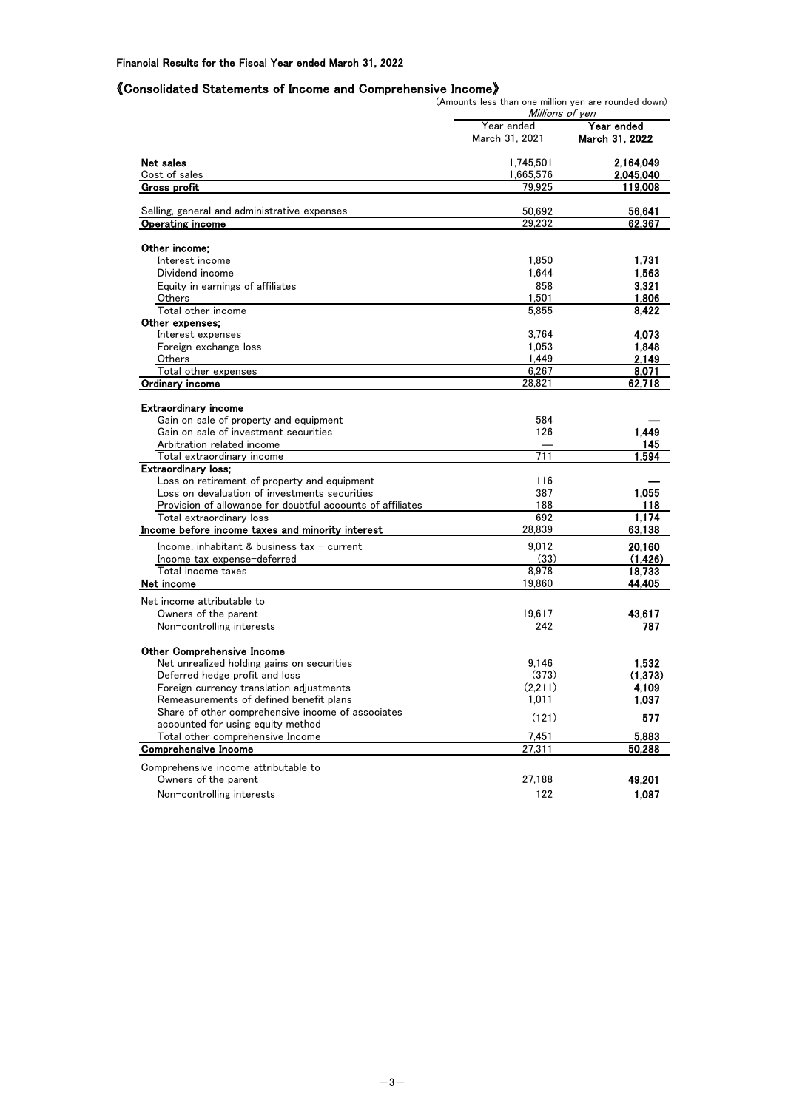#### 《Consolidated Statements of Income and Comprehensive Income》

(Amounts less than one million yen are rounded down)

|                                                                                               | Millions of yen  |                  |
|-----------------------------------------------------------------------------------------------|------------------|------------------|
|                                                                                               | Year ended       | Year ended       |
|                                                                                               | March 31, 2021   | March 31, 2022   |
| Net sales                                                                                     | 1,745,501        | 2,164.049        |
| Cost of sales                                                                                 | 1,665,576        | 2,045,040        |
| Gross profit                                                                                  | 79,925           | 119.008          |
|                                                                                               |                  |                  |
| Selling, general and administrative expenses<br><b>Operating income</b>                       | 50,692<br>29.232 | 56,641<br>62,367 |
|                                                                                               |                  |                  |
| Other income:                                                                                 |                  |                  |
| Interest income                                                                               | 1,850            | 1.731            |
| Dividend income                                                                               | 1,644            | 1,563            |
| Equity in earnings of affiliates                                                              | 858              | 3,321            |
| Others                                                                                        | 1,501            | 1,806            |
| Total other income                                                                            | 5.855            | 8,422            |
| Other expenses;                                                                               |                  |                  |
| Interest expenses                                                                             | 3,764            | 4.073            |
| Foreign exchange loss                                                                         | 1,053            | 1,848            |
| <b>Others</b>                                                                                 | 1.449            | 2,149            |
| Total other expenses                                                                          | 6,267            | 8.071            |
| Ordinary income                                                                               | 28,821           | 62,718           |
|                                                                                               |                  |                  |
| <b>Extraordinary income</b>                                                                   |                  |                  |
| Gain on sale of property and equipment                                                        | 584              |                  |
| Gain on sale of investment securities                                                         | 126              | 1.449            |
| Arbitration related income                                                                    |                  | 145              |
| Total extraordinary income                                                                    | 711              | 1.594            |
| <b>Extraordinary loss;</b>                                                                    | 116              |                  |
| Loss on retirement of property and equipment<br>Loss on devaluation of investments securities | 387              | 1,055            |
|                                                                                               | 188              | 118              |
| Provision of allowance for doubtful accounts of affiliates<br>Total extraordinary loss        | 692              | 1.174            |
| Income before income taxes and minority interest                                              | 28,839           | 63,138           |
|                                                                                               |                  |                  |
| Income, inhabitant & business $tax - current$                                                 | 9,012            | 20,160           |
| Income tax expense-deferred                                                                   | (33)             | (1, 426)         |
| Total income taxes                                                                            | 8,978            | 18,733           |
| Net income                                                                                    | 19,860           | 44,405           |
| Net income attributable to                                                                    |                  |                  |
| Owners of the parent                                                                          | 19,617           | 43,617           |
| Non-controlling interests                                                                     | 242              | 787              |
| Other Comprehensive Income                                                                    |                  |                  |
| Net unrealized holding gains on securities                                                    | 9,146            | 1,532            |
| Deferred hedge profit and loss                                                                | (373)            | (1,373)          |
| Foreign currency translation adjustments                                                      | (2,211)          | 4,109            |
| Remeasurements of defined benefit plans                                                       | 1,011            | 1,037            |
| Share of other comprehensive income of associates                                             |                  |                  |
| accounted for using equity method                                                             | (121)            | 577              |
| Total other comprehensive Income                                                              | 7,451            | 5,883            |
| <b>Comprehensive Income</b>                                                                   | 27,311           | 50,288           |
| Comprehensive income attributable to                                                          |                  |                  |
| Owners of the parent                                                                          | 27,188           | 49,201           |
| Non-controlling interests                                                                     | 122              | 1,087            |
|                                                                                               |                  |                  |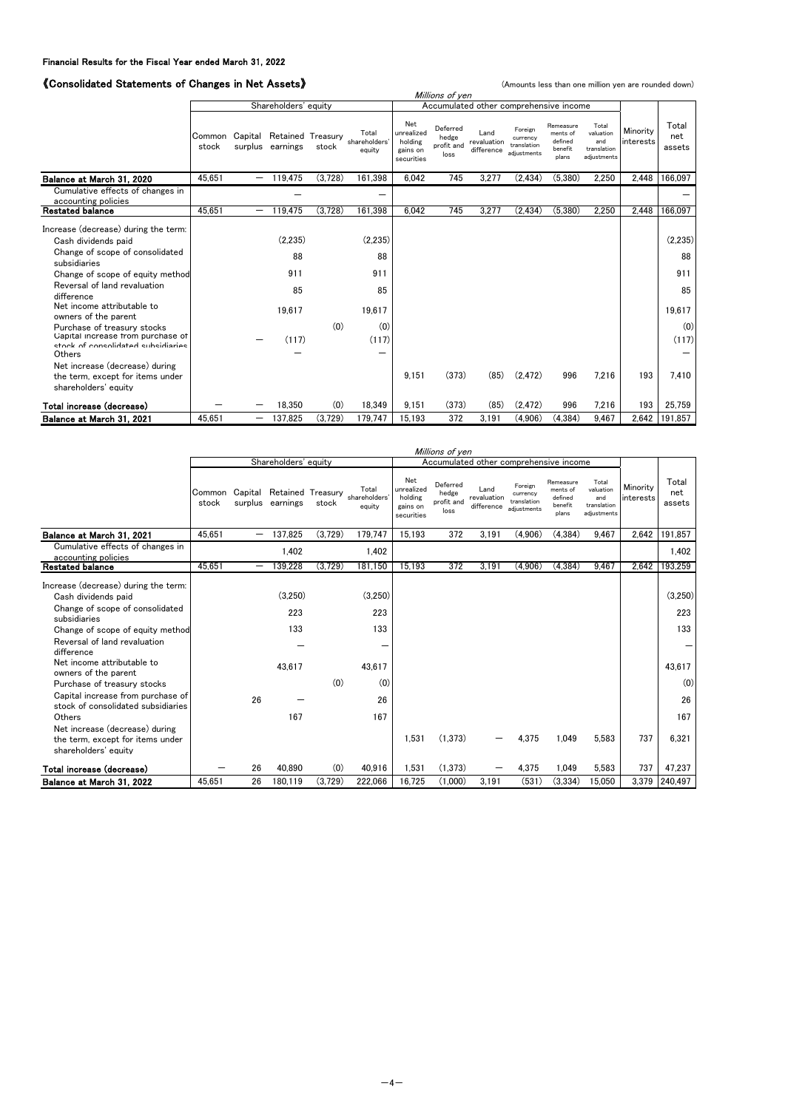# 《Consolidated Statements of Changes in Net Assets》 (Amounts less than one million yen are rounded down)

| <i><u><b>N</b></u></i> Consolidated Statements of Changes in Net Assets/                       |        |                          |                                                      |         |                                  |                                                        |                                         |                                        | (Amounts less than one million yen are rounded down) |                                                      |                                                         |                       |                        |
|------------------------------------------------------------------------------------------------|--------|--------------------------|------------------------------------------------------|---------|----------------------------------|--------------------------------------------------------|-----------------------------------------|----------------------------------------|------------------------------------------------------|------------------------------------------------------|---------------------------------------------------------|-----------------------|------------------------|
|                                                                                                |        |                          |                                                      |         |                                  |                                                        | Millions of yen                         |                                        |                                                      |                                                      |                                                         |                       |                        |
|                                                                                                |        |                          | Shareholders' equity                                 |         |                                  |                                                        |                                         | Accumulated other comprehensive income |                                                      |                                                      |                                                         |                       |                        |
|                                                                                                | stock  |                          | Common Capital Retained Treasury<br>surplus earnings | stock   | Total<br>shareholders'<br>equity | Net<br>unrealized<br>holding<br>gains on<br>securities | Deferred<br>hedge<br>profit and<br>loss | Land<br>revaluation<br>difference      | Foreign<br>currency<br>translation<br>adiustments    | Remeasure<br>ments of<br>defined<br>benefit<br>plans | Total<br>valuation<br>and<br>translation<br>adiustments | Minority<br>interests | Total<br>net<br>assets |
| Balance at March 31, 2020                                                                      | 45.651 | $\overline{\phantom{0}}$ | 119.475                                              | (3.728) | 161.398                          | 6.042                                                  | 745                                     | 3.277                                  | (2.434)                                              | (5.380)                                              | 2.250                                                   | 2.448                 | 166.097                |
| Cumulative effects of changes in<br>accounting policies                                        |        |                          |                                                      |         | -                                |                                                        |                                         |                                        |                                                      |                                                      |                                                         |                       |                        |
| <b>Restated balance</b>                                                                        | 45,651 | —                        | 119,475                                              | (3,728) | 161,398                          | 6.042                                                  | 745                                     | 3.277                                  | (2, 434)                                             | (5, 380)                                             | 2,250                                                   | 2,448                 | 166,097                |
| Increase (decrease) during the term:<br>Cash dividends paid<br>Change of scope of consolidated |        |                          | (2.235)<br>88                                        |         | (2.235)<br>88                    |                                                        |                                         |                                        |                                                      |                                                      |                                                         |                       | (2.235)<br>88          |
| subsidiaries                                                                                   |        |                          |                                                      |         |                                  |                                                        |                                         |                                        |                                                      |                                                      |                                                         |                       |                        |
| Change of scope of equity method<br>Reversal of land revaluation<br>difference                 |        |                          | 911<br>85                                            |         | 911<br>85                        |                                                        |                                         |                                        |                                                      |                                                      |                                                         |                       | 911<br>85              |
| Net income attributable to<br>owners of the parent<br>Purchase of treasury stocks              |        |                          | 19.617                                               | (0)     | 19.617<br>(0)                    |                                                        |                                         |                                        |                                                      |                                                      |                                                         |                       | 19.617<br>(0)          |
| Capital increase from purchase of<br>stock of consolidated subsidiaries<br>Others              |        |                          | (117)                                                |         | (117)<br>—                       |                                                        |                                         |                                        |                                                      |                                                      |                                                         |                       | (117)                  |
| Net increase (decrease) during<br>the term, except for items under<br>shareholders' equity     |        |                          |                                                      |         |                                  | 9.151                                                  | (373)                                   | (85)                                   | (2, 472)                                             | 996                                                  | 7,216                                                   | 193                   | 7.410                  |
| Total increase (decrease)                                                                      |        |                          | 18,350                                               | (0)     | 18,349                           | 9.151                                                  | (373)                                   | (85)                                   | (2, 472)                                             | 996                                                  | 7,216                                                   | 193                   | 25.759                 |
| Balance at March 31, 2021                                                                      | 45.651 | -                        | 137,825                                              | (3,729) | 179,747                          | 15.193                                                 | 372                                     | 3.191                                  | (4,906)                                              | (4, 384)                                             | 9.467                                                   | 2,642                 | 191,857                |

|                                                                                                              |                 | Millions of yen |                                               |         |                                  |                                                        |                                         |                                        |                                                   |                                                      |                                                         |                       |                        |
|--------------------------------------------------------------------------------------------------------------|-----------------|-----------------|-----------------------------------------------|---------|----------------------------------|--------------------------------------------------------|-----------------------------------------|----------------------------------------|---------------------------------------------------|------------------------------------------------------|---------------------------------------------------------|-----------------------|------------------------|
|                                                                                                              |                 |                 | Shareholders' equity                          |         |                                  |                                                        |                                         | Accumulated other comprehensive income |                                                   |                                                      |                                                         |                       |                        |
|                                                                                                              | Common<br>stock |                 | Capital Retained Treasury<br>surplus earnings | stock   | Total<br>shareholders'<br>equity | Net<br>unrealized<br>holding<br>gains on<br>securities | Deferred<br>hedge<br>profit and<br>loss | Land<br>revaluation<br>difference      | Foreign<br>currency<br>translation<br>adiustments | Remeasure<br>ments of<br>defined<br>benefit<br>plans | Total<br>valuation<br>and<br>translation<br>adiustments | Minority<br>interests | Total<br>net<br>assets |
| Balance at March 31, 2021                                                                                    | 45.651          | -               | 137.825                                       | (3,729) | 179.747                          | 15.193                                                 | 372                                     | 3.191                                  | (4,906)                                           | (4.384)                                              | 9.467                                                   | 2,642                 | 191,857                |
| Cumulative effects of changes in<br>accounting policies                                                      |                 |                 | 1.402                                         |         | 1,402                            |                                                        |                                         |                                        |                                                   |                                                      |                                                         |                       | 1,402                  |
| <b>Restated balance</b>                                                                                      | 45,651          | -               | 139.228                                       | (3.729) | 181.150                          | 15.193                                                 | 372                                     | 3,191                                  | (4,906)                                           | (4.384)                                              | 9.467                                                   | 2.642                 | 193.259                |
| Increase (decrease) during the term:<br>Cash dividends paid<br>Change of scope of consolidated               |                 |                 | (3.250)                                       |         | (3.250)                          |                                                        |                                         |                                        |                                                   |                                                      |                                                         |                       | (3,250)                |
| subsidiaries                                                                                                 |                 |                 | 223                                           |         | 223                              |                                                        |                                         |                                        |                                                   |                                                      |                                                         |                       | 223                    |
| Change of scope of equity method<br>Reversal of land revaluation<br>difference<br>Net income attributable to |                 |                 | 133<br>43.617                                 |         | 133<br>43.617                    |                                                        |                                         |                                        |                                                   |                                                      |                                                         |                       | 133<br>43,617          |
| owners of the parent                                                                                         |                 |                 |                                               | (0)     | (0)                              |                                                        |                                         |                                        |                                                   |                                                      |                                                         |                       |                        |
| Purchase of treasury stocks<br>Capital increase from purchase of<br>stock of consolidated subsidiaries       |                 | 26              |                                               |         | 26                               |                                                        |                                         |                                        |                                                   |                                                      |                                                         |                       | (0)<br>26              |
| Others                                                                                                       |                 |                 | 167                                           |         | 167                              |                                                        |                                         |                                        |                                                   |                                                      |                                                         |                       | 167                    |
| Net increase (decrease) during<br>the term, except for items under<br>shareholders' equity                   |                 |                 |                                               |         |                                  | 1.531                                                  | (1,373)                                 |                                        | 4,375                                             | 1,049                                                | 5,583                                                   | 737                   | 6,321                  |
| Total increase (decrease)                                                                                    |                 | 26              | 40.890                                        | (0)     | 40,916                           | 1,531                                                  | (1,373)                                 |                                        | 4,375                                             | 1,049                                                | 5,583                                                   | 737                   | 47,237                 |
| Balance at March 31, 2022                                                                                    | 45.651          | 26              | 180,119                                       | (3,729) | 222,066                          | 16.725                                                 | (1,000)                                 | 3,191                                  | (531)                                             | (3,334)                                              | 15.050                                                  |                       | 3,379 240,497          |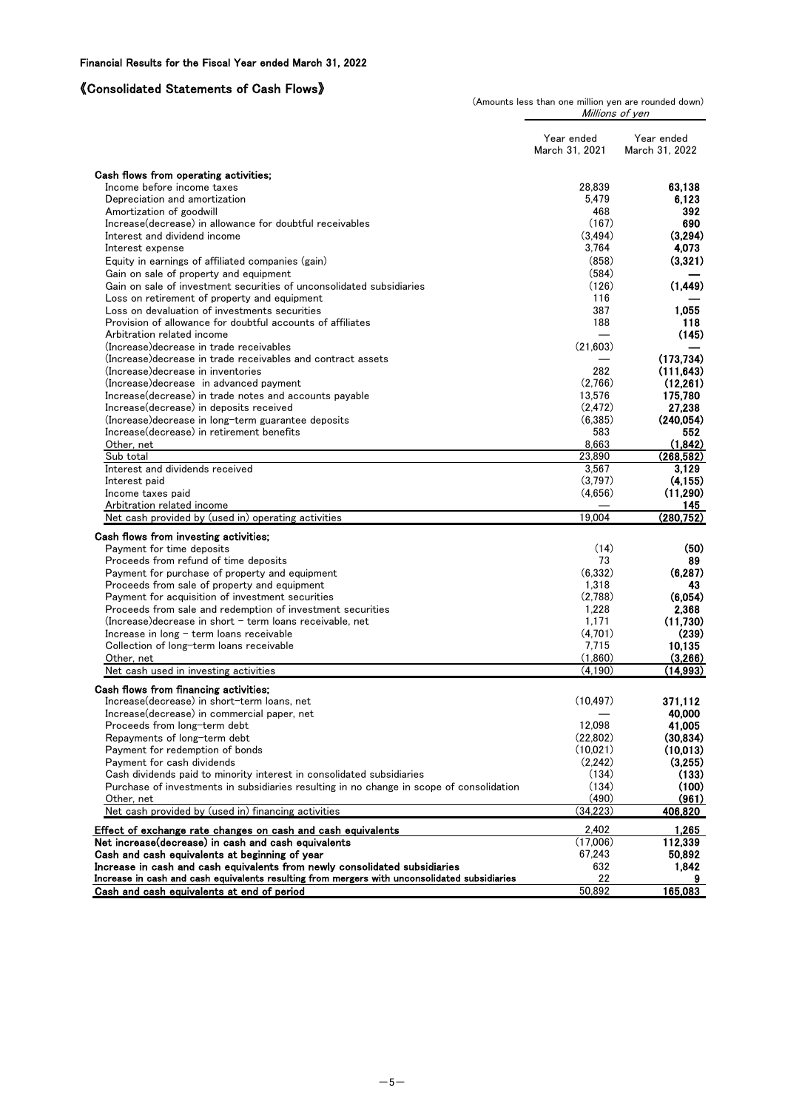## 《Consolidated Statements of Cash Flows》

(Amounts less than one million yen are rounded down) Millions of yen

|                                                                                               | Year ended<br>March 31, 2021 | Year ended<br>March 31, 2022 |
|-----------------------------------------------------------------------------------------------|------------------------------|------------------------------|
| Cash flows from operating activities;                                                         |                              |                              |
| Income before income taxes                                                                    | 28.839                       | 63.138                       |
| Depreciation and amortization                                                                 | 5.479                        | 6.123                        |
| Amortization of goodwill                                                                      | 468                          | 392                          |
| Increase (decrease) in allowance for doubtful receivables                                     | (167)                        | 690                          |
| Interest and dividend income                                                                  | (3, 494)                     | (3,294)                      |
| Interest expense                                                                              | 3,764                        | 4,073                        |
| Equity in earnings of affiliated companies (gain)                                             | (858)                        | (3.321)                      |
| Gain on sale of property and equipment                                                        | (584)                        |                              |
| Gain on sale of investment securities of unconsolidated subsidiaries                          | (126)                        | (1, 449)                     |
| Loss on retirement of property and equipment                                                  | 116                          |                              |
| Loss on devaluation of investments securities                                                 | 387                          | 1,055                        |
| Provision of allowance for doubtful accounts of affiliates<br>Arbitration related income      | 188                          | 118<br>(145)                 |
| (Increase) decrease in trade receivables                                                      | (21,603)                     |                              |
| (Increase) decrease in trade receivables and contract assets                                  |                              | (173, 734)                   |
| (Increase) decrease in inventories                                                            | 282                          | (111, 643)                   |
| (Increase) decrease in advanced payment                                                       | (2.766)                      | (12, 261)                    |
| Increase (decrease) in trade notes and accounts payable                                       | 13,576                       | 175,780                      |
| Increase (decrease) in deposits received                                                      | (2, 472)                     | 27,238                       |
| (Increase) decrease in long-term guarantee deposits                                           | (6,385)                      | (240.054)                    |
| Increase (decrease) in retirement benefits                                                    | 583                          | 552                          |
| Other, net                                                                                    | 8,663                        | (1.842)                      |
| Sub total                                                                                     | 23,890                       | (268, 582)                   |
| Interest and dividends received                                                               | 3,567                        | 3,129                        |
| Interest paid<br>Income taxes paid                                                            | (3,797)<br>(4,656)           | (4, 155)<br>(11, 290)        |
| Arbitration related income                                                                    |                              | 145                          |
| Net cash provided by (used in) operating activities                                           | 19.004                       | (280, 752)                   |
|                                                                                               |                              |                              |
| Cash flows from investing activities;<br>Payment for time deposits                            | (14)                         | (50)                         |
| Proceeds from refund of time deposits                                                         | 73                           | 89                           |
| Payment for purchase of property and equipment                                                | (6.332)                      | (6, 287)                     |
| Proceeds from sale of property and equipment                                                  | 1,318                        | 43                           |
| Payment for acquisition of investment securities                                              | (2,788)                      | (6,054)                      |
| Proceeds from sale and redemption of investment securities                                    | 1,228                        | 2,368                        |
| $(Increase) decrease$ in short $-$ term loans receivable, net                                 | 1,171                        | (11,730)                     |
| Increase in $long$ – term loans receivable                                                    | (4,701)                      | (239)                        |
| Collection of long-term loans receivable                                                      | 7,715                        | 10,135                       |
| Other, net                                                                                    | (1,860)                      | (3,266)                      |
| Net cash used in investing activities                                                         | (4, 190)                     | (14,993)                     |
| Cash flows from financing activities;                                                         |                              |                              |
| Increase(decrease) in short-term loans, net                                                   | (10, 497)                    | 371,112                      |
| Increase(decrease) in commercial paper, net                                                   |                              | 40,000                       |
| Proceeds from long-term debt                                                                  | 12,098                       | 41,005                       |
| Repayments of long-term debt                                                                  | (22,802)<br>(10,021)         | (30, 834)<br>(10,013)        |
| Payment for redemption of bonds<br>Payment for cash dividends                                 | (2,242)                      | (3,255)                      |
| Cash dividends paid to minority interest in consolidated subsidiaries                         | (134)                        | (133)                        |
| Purchase of investments in subsidiaries resulting in no change in scope of consolidation      | (134)                        | (100)                        |
| Other, net                                                                                    | (490)                        | (961)                        |
| Net cash provided by (used in) financing activities                                           | (34, 223)                    | 406,820                      |
| Effect of exchange rate changes on cash and cash equivalents                                  | 2,402                        | 1,265                        |
| Net increase (decrease) in cash and cash equivalents                                          | (17,006)                     | 112,339                      |
| Cash and cash equivalents at beginning of year                                                | 67,243                       | 50,892                       |
| Increase in cash and cash equivalents from newly consolidated subsidiaries                    | 632                          | 1,842                        |
| Increase in cash and cash equivalents resulting from mergers with unconsolidated subsidiaries | 22                           |                              |
| Cash and cash equivalents at end of period                                                    | 50,892                       | 165,083                      |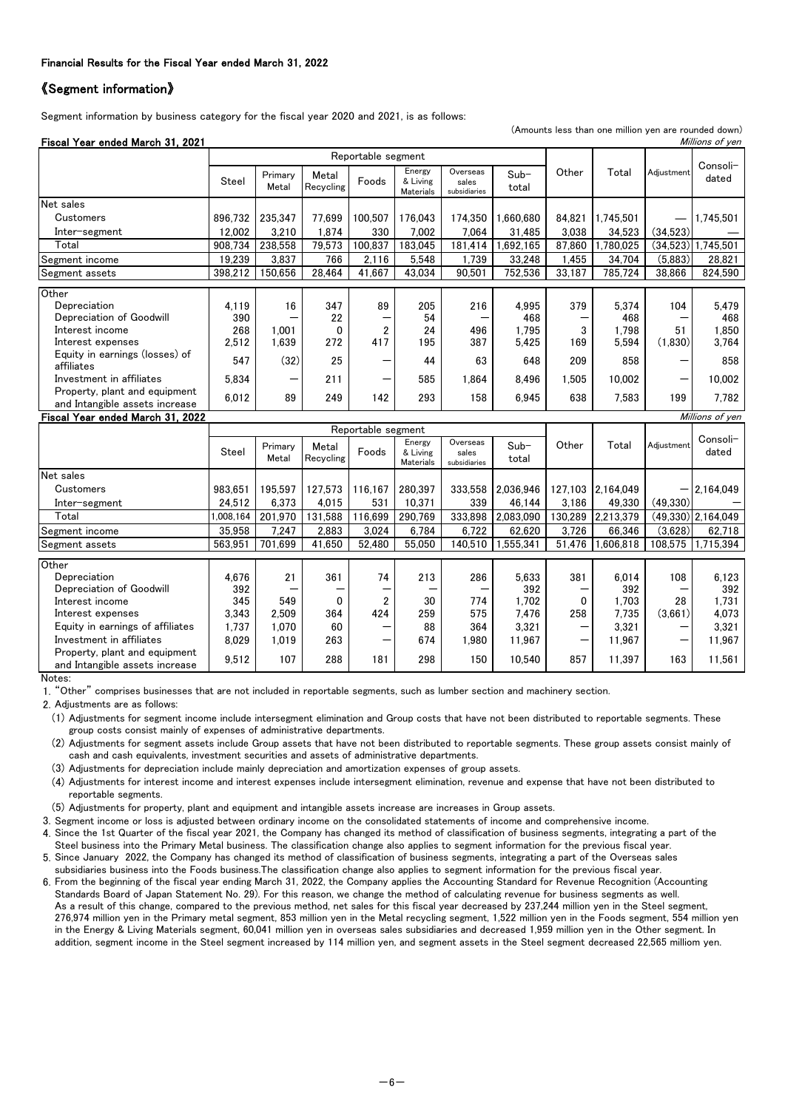#### 《Segment information》

Segment information by business category for the fiscal year 2020 and 2021, is as follows:

(Amounts less than one million yen are rounded down)

| Fiscal Year ended March 31, 2021                                |                    |                    |                    |                |                                        |                                   |                 |        |           |            | Millions of yen   |
|-----------------------------------------------------------------|--------------------|--------------------|--------------------|----------------|----------------------------------------|-----------------------------------|-----------------|--------|-----------|------------|-------------------|
|                                                                 | Reportable segment |                    |                    |                |                                        |                                   |                 |        |           |            |                   |
|                                                                 | <b>Steel</b>       | Primary<br>Metal   | Metal<br>Recycling | Foods          | Energy<br>& Living<br><b>Materials</b> | Overseas<br>sales<br>subsidiaries | $Sub-$<br>total | Other  | Total     | Adiustment | Consoli-<br>dated |
| Net sales                                                       |                    |                    |                    |                |                                        |                                   |                 |        |           |            |                   |
| Customers                                                       | 896.732            | 235,347            | 77.699             | 100.507        | 176.043                                | 174.350                           | 1.660.680       | 84.821 | 1,745,501 |            | 1,745,501         |
| Inter-segment                                                   | 12,002             | 3,210              | 1,874              | 330            | 7,002                                  | 7,064                             | 31,485          | 3,038  | 34,523    | (34,523)   |                   |
| Total                                                           | 908.734            | 238,558            | 79,573             | 100.837        | 183,045                                | 181,414                           | .692,165        | 87,860 | 780,025   | (34,523)   | 1,745,501         |
| Segment income                                                  | 19,239             | 3,837              | 766                | 2,116          | 5,548                                  | 1,739                             | 33,248          | 1,455  | 34,704    | (5,883)    | 28,821            |
| Segment assets                                                  | 398,212            | 150,656            | 28,464             | 41.667         | 43,034                                 | 90,501                            | 752,536         | 33,187 | 785,724   | 38,866     | 824,590           |
| Other                                                           |                    |                    |                    |                |                                        |                                   |                 |        |           |            |                   |
| Depreciation                                                    | 4,119              | 16                 | 347                | 89             | 205                                    | 216                               | 4.995           | 379    | 5.374     | 104        | 5,479             |
| Depreciation of Goodwill                                        | 390                |                    | 22                 |                | 54                                     |                                   | 468             |        | 468       |            | 468               |
| Interest income                                                 | 268                | 1.001              | 0                  | $\overline{2}$ | 24                                     | 496                               | 1.795           | 3      | 1.798     | 51         | 1,850             |
| Interest expenses                                               | 2,512              | 1,639              | 272                | 417            | 195                                    | 387                               | 5,425           | 169    | 5,594     | (1,830)    | 3,764             |
| Equity in earnings (losses) of<br>affiliates                    | 547                | (32)               | 25                 |                | 44                                     | 63                                | 648             | 209    | 858       |            | 858               |
| Investment in affiliates                                        | 5,834              |                    | 211                |                | 585                                    | 1.864                             | 8.496           | 1.505  | 10,002    | -          | 10,002            |
| Property, plant and equipment<br>and Intangible assets increase | 6,012              | 89                 | 249                | 142            | 293                                    | 158                               | 6,945           | 638    | 7,583     | 199        | 7,782             |
| Fiscal Year ended March 31, 2022                                |                    |                    |                    |                |                                        |                                   |                 |        |           |            | Millions of yen   |
|                                                                 |                    | Reportable segment |                    |                |                                        |                                   |                 |        |           |            |                   |
|                                                                 | <b>Steel</b>       | Primary<br>Metal   | Metal<br>Recycling | Foods          | Energy<br>& Living<br><b>Materials</b> | Overseas<br>sales<br>subsidiaries | $Sub-$<br>total | Other  | Total     | Adjustment | Consoli-<br>dated |

|                                                                 | Steel     | Metal   | Recycling | Foods   | & Living<br><b>Materials</b> | sales<br>subsidiaries | total     |         |           |          | dated                |
|-----------------------------------------------------------------|-----------|---------|-----------|---------|------------------------------|-----------------------|-----------|---------|-----------|----------|----------------------|
| Net sales                                                       |           |         |           |         |                              |                       |           |         |           |          |                      |
| Customers                                                       | 983.651   | 195.597 | 127.573   | 116.167 | 280.397                      | 333.558               | 2.036.946 | 127.103 | 2.164.049 | —        | 2,164,049            |
| Inter-segment                                                   | 24.512    | 6.373   | 4.015     | 531     | 10.371                       | 339                   | 46.144    | 3.186   | 49.330    | (49.330) |                      |
| Total                                                           | 1.008.164 | 201.970 | 131.588   | 116.699 | 290.769                      | 333.898               | 2.083.090 | 130.289 | 2,213,379 |          | $(49.330)$ 2.164.049 |
| Segment income                                                  | 35.958    | 7.247   | 2.883     | 3.024   | 6.784                        | 6.722                 | 62.620    | 3.726   | 66.346    | (3,628)  | 62.718               |
| Segment assets                                                  | 563.951   | 701.699 | 41.650    | 52.480  | 55,050                       | 140.510               | 1.555.341 | 51.476  | 1.606.818 |          | 108,575 1,715,394    |
| Other                                                           |           |         |           |         |                              |                       |           |         |           |          |                      |
| Depreciation                                                    | 4.676     | 21      | 361       | 74      | 213                          | 286                   | 5.633     | 381     | 6.014     | 108      | 6,123                |
| Depreciation of Goodwill                                        | 392       |         |           |         |                              |                       | 392       |         | 392       |          | 392                  |
| Interest income                                                 | 345       | 549     | 0         | 2       | 30                           | 774                   | 1.702     |         | 1.703     | 28       | 1.731                |
| Interest expenses                                               | 3.343     | 2.509   | 364       | 424     | 259                          | 575                   | 7.476     | 258     | 7.735     | (3.661)  | 4.073                |
| Equity in earnings of affiliates                                | 1.737     | 1.070   | 60        |         | 88                           | 364                   | 3.321     |         | 3.321     | –        | 3,321                |
| Investment in affiliates                                        | 8,029     | 1.019   | 263       | –       | 674                          | 1.980                 | 11.967    | -       | 11.967    | -        | 11.967               |
| Property, plant and equipment<br>and Intangible assets increase | 9,512     | 107     | 288       | 181     | 298                          | 150                   | 10.540    | 857     | 11.397    | 163      | 11.561               |

Notes:

1. "Other" comprises businesses that are not included in reportable segments, such as lumber section and machinery section.

2. Adjustments are as follows:

(1) Adjustments for segment income include intersegment elimination and Group costs that have not been distributed to reportable segments. These group costs consist mainly of expenses of administrative departments.

(2) Adjustments for segment assets include Group assets that have not been distributed to reportable segments. These group assets consist mainly of cash and cash equivalents, investment securities and assets of administrative departments.

(3) Adjustments for depreciation include mainly depreciation and amortization expenses of group assets.

(4) Adjustments for interest income and interest expenses include intersegment elimination, revenue and expense that have not been distributed to reportable segments.

(5) Adjustments for property, plant and equipment and intangible assets increase are increases in Group assets.

3. Segment income or loss is adjusted between ordinary income on the consolidated statements of income and comprehensive income.

4. Since the 1st Quarter of the fiscal year 2021, the Company has changed its method of classification of business segments, integrating a part of the Steel business into the Primary Metal business. The classification change also applies to segment information for the previous fiscal year.

5. Since January 2022, the Company has changed its method of classification of business segments, integrating a part of the Overseas sales subsidiaries business into the Foods business.The classification change also applies to segment information for the previous fiscal year.

6. From the beginning of the fiscal year ending March 31, 2022, the Company applies the Accounting Standard for Revenue Recognition (Accounting Standards Board of Japan Statement No. 29). For this reason, we change the method of calculating revenue for business segments as well. As a result of this change, compared to the previous method, net sales for this fiscal year decreased by 237,244 million yen in the Steel segment, 276,974 million yen in the Primary metal segment, 853 million yen in the Metal recycling segment, 1,522 million yen in the Foods segment, 554 million yen in the Energy & Living Materials segment, 60,041 million yen in overseas sales subsidiaries and decreased 1,959 million yen in the Other segment. In addition, segment income in the Steel segment increased by 114 million yen, and segment assets in the Steel segment decreased 22,565 milliom yen.